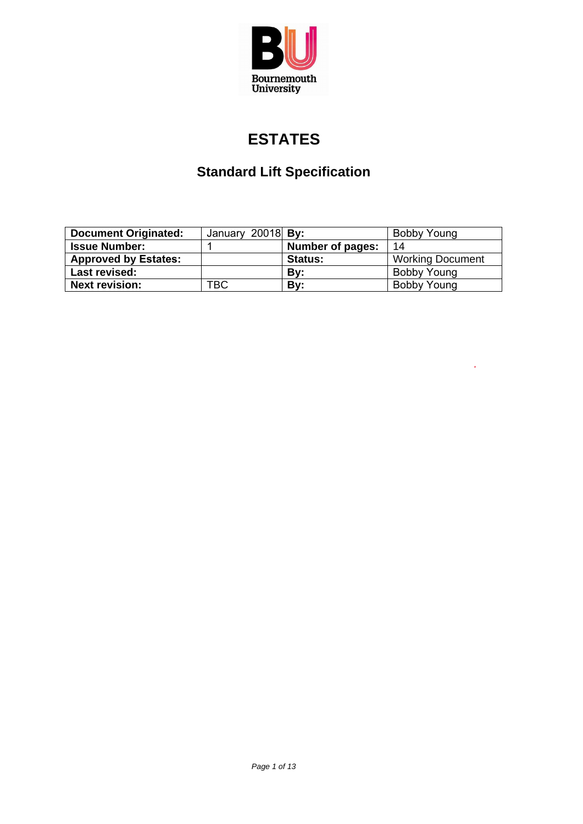

# **ESTATES**

# **Standard Lift Specification**

| <b>Document Originated:</b> | January 20018 By: |                  | Bobby Young             |
|-----------------------------|-------------------|------------------|-------------------------|
| <b>Issue Number:</b>        |                   | Number of pages: | 14                      |
| <b>Approved by Estates:</b> |                   | <b>Status:</b>   | <b>Working Document</b> |
| Last revised:               |                   | Bv:              | Bobby Young             |
| <b>Next revision:</b>       | твс               | Bv:              | <b>Bobby Young</b>      |

 $\hat{\mathcal{A}}$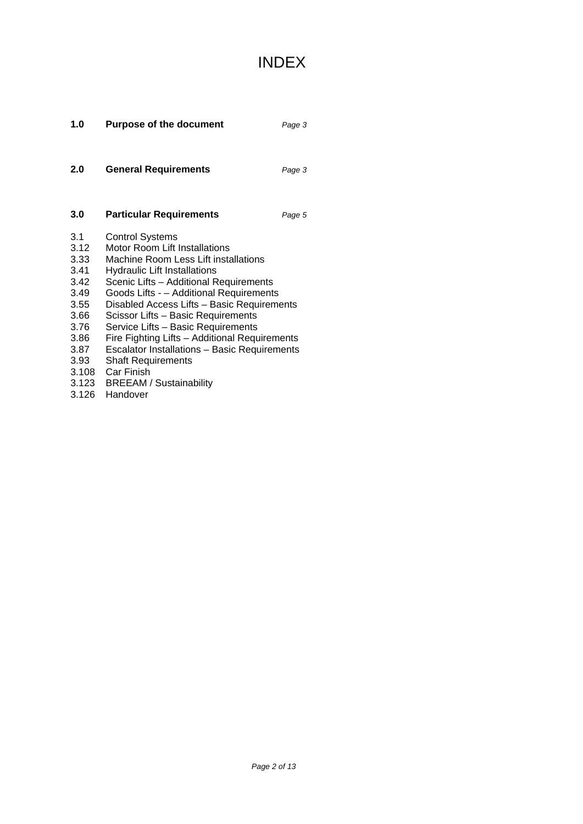# INDEX

| 1.0                                                                                                  | <b>Purpose of the document</b>                                                                                                                                                                                                                                                                                                                                                                                                                                                                                                                       | Page 3 |
|------------------------------------------------------------------------------------------------------|------------------------------------------------------------------------------------------------------------------------------------------------------------------------------------------------------------------------------------------------------------------------------------------------------------------------------------------------------------------------------------------------------------------------------------------------------------------------------------------------------------------------------------------------------|--------|
| 2.0                                                                                                  | <b>General Requirements</b>                                                                                                                                                                                                                                                                                                                                                                                                                                                                                                                          | Page 3 |
| 3.0                                                                                                  | <b>Particular Requirements</b>                                                                                                                                                                                                                                                                                                                                                                                                                                                                                                                       | Page 5 |
| 3.1<br>3.12<br>3.33<br>3.41<br>3.42<br>3.49<br>3.55<br>3.66<br>3.76<br>3.86<br>3.87<br>3.93<br>3.126 | <b>Control Systems</b><br><b>Motor Room Lift Installations</b><br>Machine Room Less Lift installations<br>Hydraulic Lift Installations<br>Scenic Lifts - Additional Requirements<br>Goods Lifts - - Additional Requirements<br>Disabled Access Lifts - Basic Requirements<br>Scissor Lifts - Basic Requirements<br>Service Lifts - Basic Requirements<br>Fire Fighting Lifts - Additional Requirements<br>Escalator Installations - Basic Requirements<br><b>Shaft Requirements</b><br>3.108 Car Finish<br>3.123 BREEAM / Sustainability<br>Handover |        |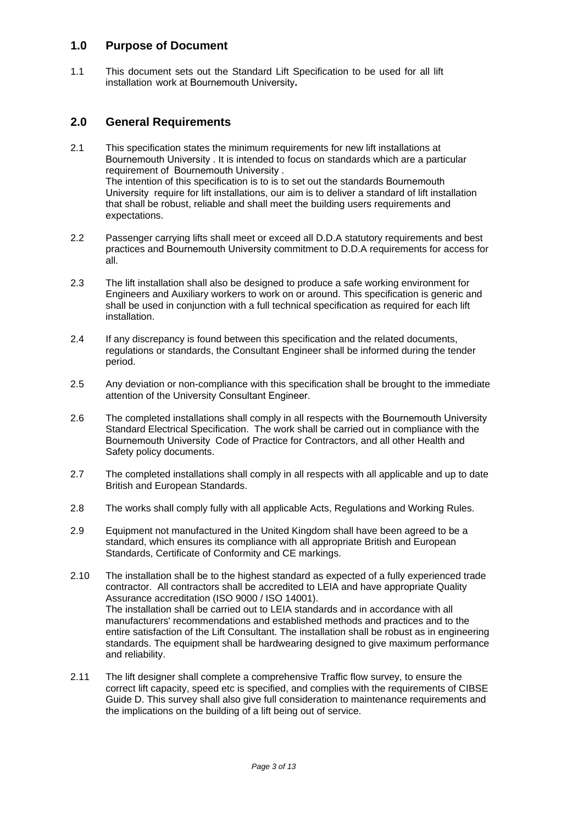## **1.0 Purpose of Document**

1.1 This document sets out the Standard Lift Specification to be used for all lift installation work at Bournemouth University**.** 

## **2.0 General Requirements**

- 2.1 This specification states the minimum requirements for new lift installations at Bournemouth University . It is intended to focus on standards which are a particular requirement of Bournemouth University . The intention of this specification is to is to set out the standards Bournemouth University require for lift installations, our aim is to deliver a standard of lift installation that shall be robust, reliable and shall meet the building users requirements and expectations.
- 2.2 Passenger carrying lifts shall meet or exceed all D.D.A statutory requirements and best practices and Bournemouth University commitment to D.D.A requirements for access for all.
- 2.3 The lift installation shall also be designed to produce a safe working environment for Engineers and Auxiliary workers to work on or around. This specification is generic and shall be used in conjunction with a full technical specification as required for each lift installation.
- 2.4 If any discrepancy is found between this specification and the related documents, regulations or standards, the Consultant Engineer shall be informed during the tender period.
- 2.5 Any deviation or non-compliance with this specification shall be brought to the immediate attention of the University Consultant Engineer.
- 2.6 The completed installations shall comply in all respects with the Bournemouth University Standard Electrical Specification. The work shall be carried out in compliance with the Bournemouth University Code of Practice for Contractors, and all other Health and Safety policy documents.
- 2.7 The completed installations shall comply in all respects with all applicable and up to date British and European Standards.
- 2.8 The works shall comply fully with all applicable Acts, Regulations and Working Rules.
- 2.9 Equipment not manufactured in the United Kingdom shall have been agreed to be a standard, which ensures its compliance with all appropriate British and European Standards, Certificate of Conformity and CE markings.
- 2.10 The installation shall be to the highest standard as expected of a fully experienced trade contractor. All contractors shall be accredited to LEIA and have appropriate Quality Assurance accreditation (ISO 9000 / ISO 14001). The installation shall be carried out to LEIA standards and in accordance with all manufacturers' recommendations and established methods and practices and to the entire satisfaction of the Lift Consultant. The installation shall be robust as in engineering standards. The equipment shall be hardwearing designed to give maximum performance and reliability.
- 2.11 The lift designer shall complete a comprehensive Traffic flow survey, to ensure the correct lift capacity, speed etc is specified, and complies with the requirements of CIBSE Guide D. This survey shall also give full consideration to maintenance requirements and the implications on the building of a lift being out of service.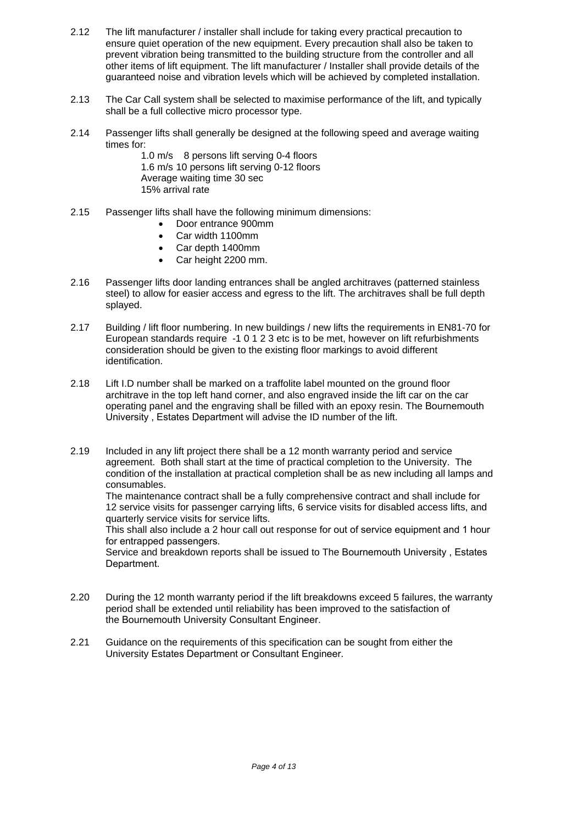- 2.12 The lift manufacturer / installer shall include for taking every practical precaution to ensure quiet operation of the new equipment. Every precaution shall also be taken to prevent vibration being transmitted to the building structure from the controller and all other items of lift equipment. The lift manufacturer / Installer shall provide details of the guaranteed noise and vibration levels which will be achieved by completed installation.
- 2.13 The Car Call system shall be selected to maximise performance of the lift, and typically shall be a full collective micro processor type.
- 2.14 Passenger lifts shall generally be designed at the following speed and average waiting times for:

1.0 m/s 8 persons lift serving 0-4 floors 1.6 m/s 10 persons lift serving 0-12 floors Average waiting time 30 sec 15% arrival rate

- 2.15 Passenger lifts shall have the following minimum dimensions:
	- Door entrance 900mm
	- Car width 1100mm
	- Car depth 1400mm
	- Car height 2200 mm.
- 2.16 Passenger lifts door landing entrances shall be angled architraves (patterned stainless steel) to allow for easier access and egress to the lift. The architraves shall be full depth splayed.
- 2.17 Building / lift floor numbering. In new buildings / new lifts the requirements in EN81-70 for European standards require -1 0 1 2 3 etc is to be met, however on lift refurbishments consideration should be given to the existing floor markings to avoid different identification.
- 2.18 Lift I.D number shall be marked on a traffolite label mounted on the ground floor architrave in the top left hand corner, and also engraved inside the lift car on the car operating panel and the engraving shall be filled with an epoxy resin. The Bournemouth University , Estates Department will advise the ID number of the lift.
- 2.19 Included in any lift project there shall be a 12 month warranty period and service agreement. Both shall start at the time of practical completion to the University. The condition of the installation at practical completion shall be as new including all lamps and consumables.

The maintenance contract shall be a fully comprehensive contract and shall include for 12 service visits for passenger carrying lifts, 6 service visits for disabled access lifts, and quarterly service visits for service lifts.

This shall also include a 2 hour call out response for out of service equipment and 1 hour for entrapped passengers.

Service and breakdown reports shall be issued to The Bournemouth University , Estates Department.

- 2.20 During the 12 month warranty period if the lift breakdowns exceed 5 failures, the warranty period shall be extended until reliability has been improved to the satisfaction of the Bournemouth University Consultant Engineer.
- 2.21 Guidance on the requirements of this specification can be sought from either the University Estates Department or Consultant Engineer.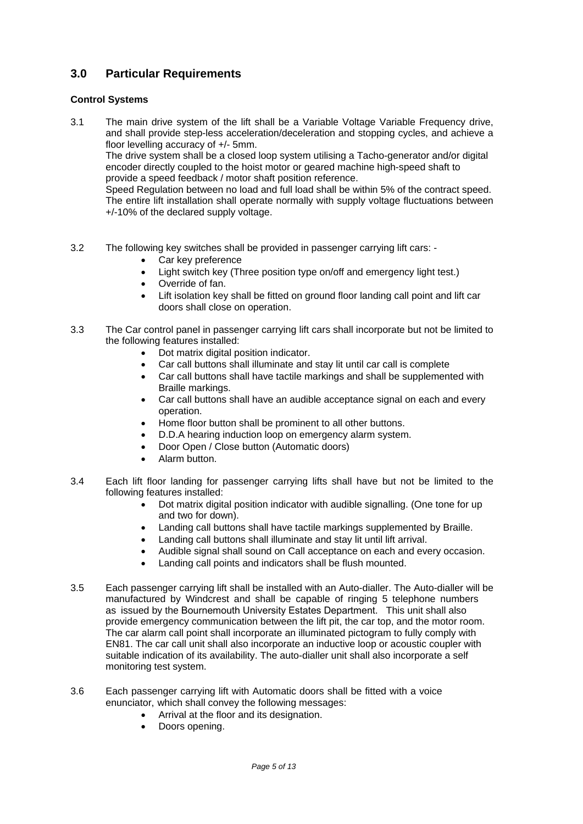# **3.0 Particular Requirements**

## **Control Systems**

3.1 The main drive system of the lift shall be a Variable Voltage Variable Frequency drive, and shall provide step-less acceleration/deceleration and stopping cycles, and achieve a floor levelling accuracy of +/- 5mm.

The drive system shall be a closed loop system utilising a Tacho-generator and/or digital encoder directly coupled to the hoist motor or geared machine high-speed shaft to provide a speed feedback / motor shaft position reference.

Speed Regulation between no load and full load shall be within 5% of the contract speed. The entire lift installation shall operate normally with supply voltage fluctuations between +/-10% of the declared supply voltage.

- 3.2 The following key switches shall be provided in passenger carrying lift cars:
	- Car key preference
	- Light switch key (Three position type on/off and emergency light test.)
	- Override of fan.
	- Lift isolation key shall be fitted on ground floor landing call point and lift car doors shall close on operation.
- 3.3 The Car control panel in passenger carrying lift cars shall incorporate but not be limited to the following features installed:
	- Dot matrix digital position indicator.
	- Car call buttons shall illuminate and stay lit until car call is complete
	- Car call buttons shall have tactile markings and shall be supplemented with Braille markings.
	- Car call buttons shall have an audible acceptance signal on each and every operation.
	- Home floor button shall be prominent to all other buttons.
	- D.D.A hearing induction loop on emergency alarm system.
	- Door Open / Close button (Automatic doors)
	- Alarm button.
- 3.4 Each lift floor landing for passenger carrying lifts shall have but not be limited to the following features installed:
	- Dot matrix digital position indicator with audible signalling. (One tone for up and two for down).
	- Landing call buttons shall have tactile markings supplemented by Braille.
	- Landing call buttons shall illuminate and stay lit until lift arrival.
	- Audible signal shall sound on Call acceptance on each and every occasion.
	- Landing call points and indicators shall be flush mounted.
- 3.5 Each passenger carrying lift shall be installed with an Auto-dialler. The Auto-dialler will be manufactured by Windcrest and shall be capable of ringing 5 telephone numbers as issued by the Bournemouth University Estates Department. This unit shall also provide emergency communication between the lift pit, the car top, and the motor room. The car alarm call point shall incorporate an illuminated pictogram to fully comply with EN81. The car call unit shall also incorporate an inductive loop or acoustic coupler with suitable indication of its availability. The auto-dialler unit shall also incorporate a self monitoring test system.
- 3.6 Each passenger carrying lift with Automatic doors shall be fitted with a voice enunciator, which shall convey the following messages:
	- Arrival at the floor and its designation.
	- Doors opening.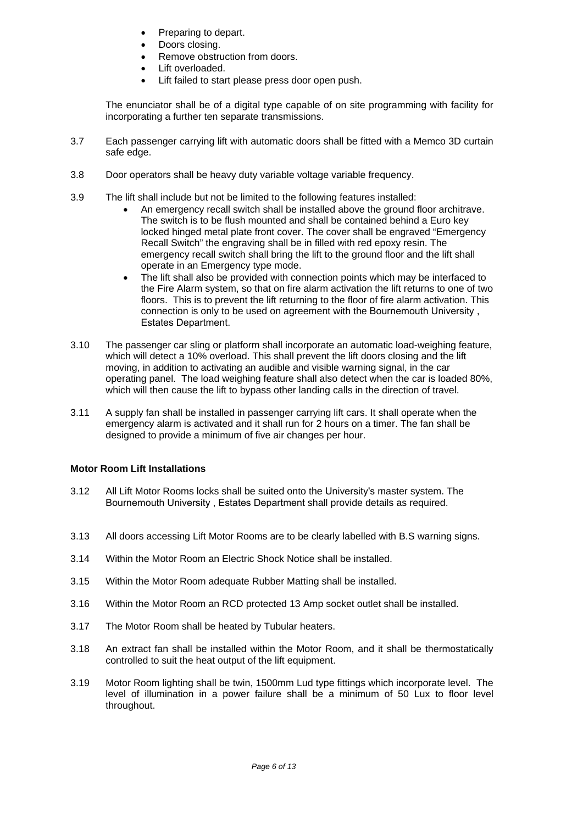- Preparing to depart.
- Doors closing.
- Remove obstruction from doors.
- Lift overloaded.
- Lift failed to start please press door open push.

The enunciator shall be of a digital type capable of on site programming with facility for incorporating a further ten separate transmissions.

- 3.7 Each passenger carrying lift with automatic doors shall be fitted with a Memco 3D curtain safe edge.
- 3.8 Door operators shall be heavy duty variable voltage variable frequency.
- 3.9 The lift shall include but not be limited to the following features installed:
	- An emergency recall switch shall be installed above the ground floor architrave. The switch is to be flush mounted and shall be contained behind a Euro key locked hinged metal plate front cover. The cover shall be engraved "Emergency Recall Switch" the engraving shall be in filled with red epoxy resin. The emergency recall switch shall bring the lift to the ground floor and the lift shall operate in an Emergency type mode.
	- The lift shall also be provided with connection points which may be interfaced to the Fire Alarm system, so that on fire alarm activation the lift returns to one of two floors. This is to prevent the lift returning to the floor of fire alarm activation. This connection is only to be used on agreement with the Bournemouth University , Estates Department.
- 3.10 The passenger car sling or platform shall incorporate an automatic load-weighing feature, which will detect a 10% overload. This shall prevent the lift doors closing and the lift moving, in addition to activating an audible and visible warning signal, in the car operating panel. The load weighing feature shall also detect when the car is loaded 80%, which will then cause the lift to bypass other landing calls in the direction of travel.
- 3.11 A supply fan shall be installed in passenger carrying lift cars. It shall operate when the emergency alarm is activated and it shall run for 2 hours on a timer. The fan shall be designed to provide a minimum of five air changes per hour.

### **Motor Room Lift Installations**

- 3.12 All Lift Motor Rooms locks shall be suited onto the University's master system. The Bournemouth University , Estates Department shall provide details as required.
- 3.13 All doors accessing Lift Motor Rooms are to be clearly labelled with B.S warning signs.
- 3.14 Within the Motor Room an Electric Shock Notice shall be installed.
- 3.15 Within the Motor Room adequate Rubber Matting shall be installed.
- 3.16 Within the Motor Room an RCD protected 13 Amp socket outlet shall be installed.
- 3.17 The Motor Room shall be heated by Tubular heaters.
- 3.18 An extract fan shall be installed within the Motor Room, and it shall be thermostatically controlled to suit the heat output of the lift equipment.
- 3.19 Motor Room lighting shall be twin, 1500mm Lud type fittings which incorporate level. The level of illumination in a power failure shall be a minimum of 50 Lux to floor level throughout.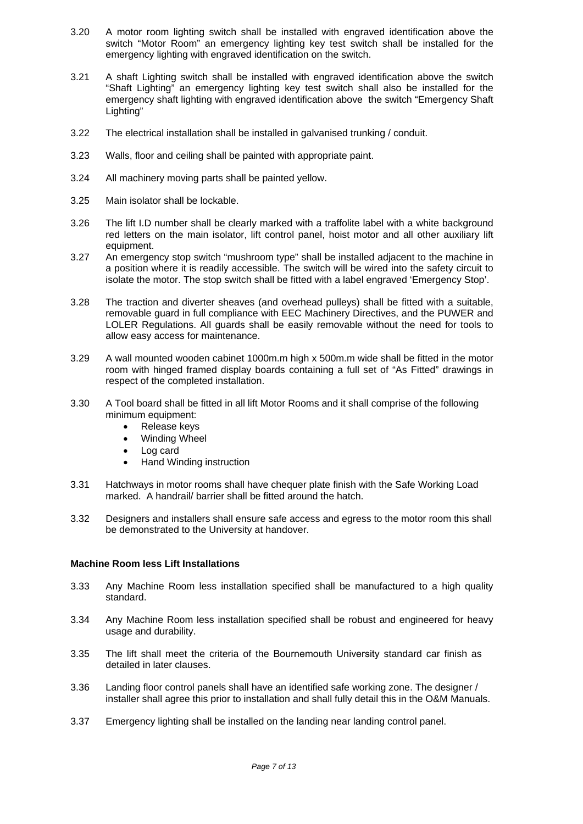- 3.20 A motor room lighting switch shall be installed with engraved identification above the switch "Motor Room" an emergency lighting key test switch shall be installed for the emergency lighting with engraved identification on the switch.
- 3.21 A shaft Lighting switch shall be installed with engraved identification above the switch "Shaft Lighting" an emergency lighting key test switch shall also be installed for the emergency shaft lighting with engraved identification above the switch "Emergency Shaft Lighting"
- 3.22 The electrical installation shall be installed in galvanised trunking / conduit.
- 3.23 Walls, floor and ceiling shall be painted with appropriate paint.
- 3.24 All machinery moving parts shall be painted yellow.
- 3.25 Main isolator shall be lockable.
- 3.26 The lift I.D number shall be clearly marked with a traffolite label with a white background red letters on the main isolator, lift control panel, hoist motor and all other auxiliary lift equipment.
- 3.27 An emergency stop switch "mushroom type" shall be installed adjacent to the machine in a position where it is readily accessible. The switch will be wired into the safety circuit to isolate the motor. The stop switch shall be fitted with a label engraved 'Emergency Stop'.
- 3.28 The traction and diverter sheaves (and overhead pulleys) shall be fitted with a suitable, removable guard in full compliance with EEC Machinery Directives, and the PUWER and LOLER Regulations. All guards shall be easily removable without the need for tools to allow easy access for maintenance.
- 3.29 A wall mounted wooden cabinet 1000m.m high x 500m.m wide shall be fitted in the motor room with hinged framed display boards containing a full set of "As Fitted" drawings in respect of the completed installation.
- 3.30 A Tool board shall be fitted in all lift Motor Rooms and it shall comprise of the following minimum equipment:
	- Release keys
	- Winding Wheel
	- Log card
	- Hand Winding instruction
- 3.31 Hatchways in motor rooms shall have chequer plate finish with the Safe Working Load marked. A handrail/ barrier shall be fitted around the hatch.
- 3.32 Designers and installers shall ensure safe access and egress to the motor room this shall be demonstrated to the University at handover.

#### **Machine Room less Lift Installations**

- 3.33 Any Machine Room less installation specified shall be manufactured to a high quality standard.
- 3.34 Any Machine Room less installation specified shall be robust and engineered for heavy usage and durability.
- 3.35 The lift shall meet the criteria of the Bournemouth University standard car finish as detailed in later clauses.
- 3.36 Landing floor control panels shall have an identified safe working zone. The designer / installer shall agree this prior to installation and shall fully detail this in the O&M Manuals.
- 3.37 Emergency lighting shall be installed on the landing near landing control panel.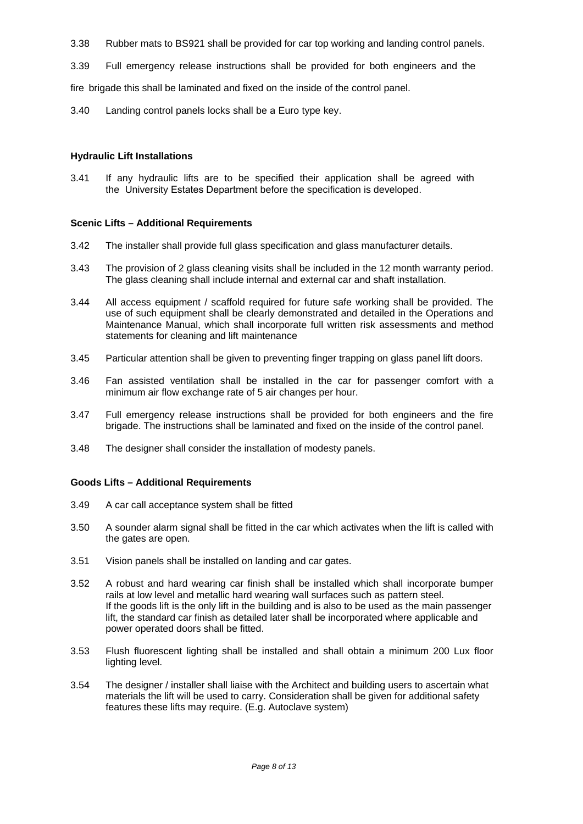- 3.38 Rubber mats to BS921 shall be provided for car top working and landing control panels.
- 3.39 Full emergency release instructions shall be provided for both engineers and the

fire brigade this shall be laminated and fixed on the inside of the control panel.

3.40 Landing control panels locks shall be a Euro type key.

### **Hydraulic Lift Installations**

3.41 If any hydraulic lifts are to be specified their application shall be agreed with the University Estates Department before the specification is developed.

### **Scenic Lifts – Additional Requirements**

- 3.42 The installer shall provide full glass specification and glass manufacturer details.
- 3.43 The provision of 2 glass cleaning visits shall be included in the 12 month warranty period. The glass cleaning shall include internal and external car and shaft installation.
- 3.44 All access equipment / scaffold required for future safe working shall be provided. The use of such equipment shall be clearly demonstrated and detailed in the Operations and Maintenance Manual, which shall incorporate full written risk assessments and method statements for cleaning and lift maintenance
- 3.45 Particular attention shall be given to preventing finger trapping on glass panel lift doors.
- 3.46 Fan assisted ventilation shall be installed in the car for passenger comfort with a minimum air flow exchange rate of 5 air changes per hour.
- 3.47 Full emergency release instructions shall be provided for both engineers and the fire brigade. The instructions shall be laminated and fixed on the inside of the control panel.
- 3.48 The designer shall consider the installation of modesty panels.

### **Goods Lifts – Additional Requirements**

- 3.49 A car call acceptance system shall be fitted
- 3.50 A sounder alarm signal shall be fitted in the car which activates when the lift is called with the gates are open.
- 3.51 Vision panels shall be installed on landing and car gates.
- 3.52 A robust and hard wearing car finish shall be installed which shall incorporate bumper rails at low level and metallic hard wearing wall surfaces such as pattern steel. If the goods lift is the only lift in the building and is also to be used as the main passenger lift, the standard car finish as detailed later shall be incorporated where applicable and power operated doors shall be fitted.
- 3.53 Flush fluorescent lighting shall be installed and shall obtain a minimum 200 Lux floor lighting level.
- 3.54 The designer / installer shall liaise with the Architect and building users to ascertain what materials the lift will be used to carry. Consideration shall be given for additional safety features these lifts may require. (E.g. Autoclave system)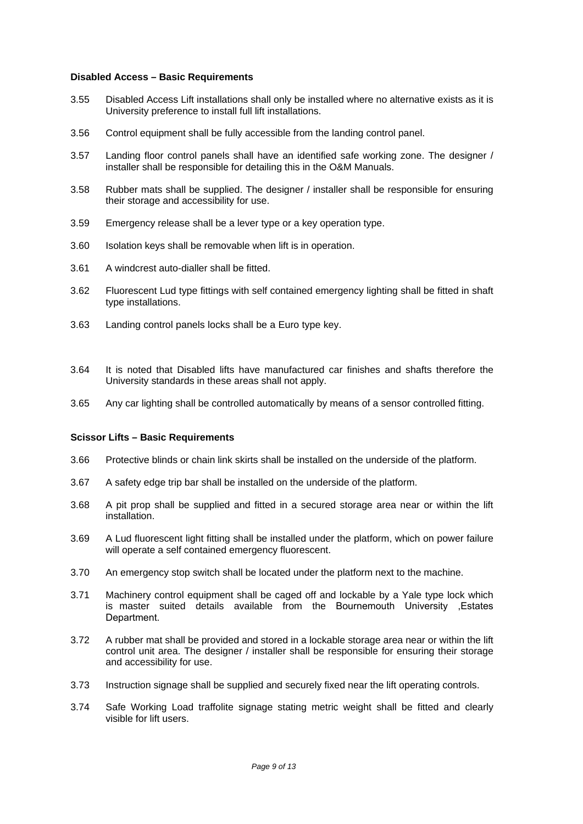#### **Disabled Access – Basic Requirements**

- 3.55 Disabled Access Lift installations shall only be installed where no alternative exists as it is University preference to install full lift installations.
- 3.56 Control equipment shall be fully accessible from the landing control panel.
- 3.57 Landing floor control panels shall have an identified safe working zone. The designer / installer shall be responsible for detailing this in the O&M Manuals.
- 3.58 Rubber mats shall be supplied. The designer / installer shall be responsible for ensuring their storage and accessibility for use.
- 3.59 Emergency release shall be a lever type or a key operation type.
- 3.60 Isolation keys shall be removable when lift is in operation.
- 3.61 A windcrest auto-dialler shall be fitted.
- 3.62 Fluorescent Lud type fittings with self contained emergency lighting shall be fitted in shaft type installations.
- 3.63 Landing control panels locks shall be a Euro type key.
- 3.64 It is noted that Disabled lifts have manufactured car finishes and shafts therefore the University standards in these areas shall not apply.
- 3.65 Any car lighting shall be controlled automatically by means of a sensor controlled fitting.

#### **Scissor Lifts – Basic Requirements**

- 3.66 Protective blinds or chain link skirts shall be installed on the underside of the platform.
- 3.67 A safety edge trip bar shall be installed on the underside of the platform.
- 3.68 A pit prop shall be supplied and fitted in a secured storage area near or within the lift installation.
- 3.69 A Lud fluorescent light fitting shall be installed under the platform, which on power failure will operate a self contained emergency fluorescent.
- 3.70 An emergency stop switch shall be located under the platform next to the machine.
- 3.71 Machinery control equipment shall be caged off and lockable by a Yale type lock which is master suited details available from the Bournemouth University ,Estates Department.
- 3.72 A rubber mat shall be provided and stored in a lockable storage area near or within the lift control unit area. The designer / installer shall be responsible for ensuring their storage and accessibility for use.
- 3.73 Instruction signage shall be supplied and securely fixed near the lift operating controls.
- 3.74 Safe Working Load traffolite signage stating metric weight shall be fitted and clearly visible for lift users.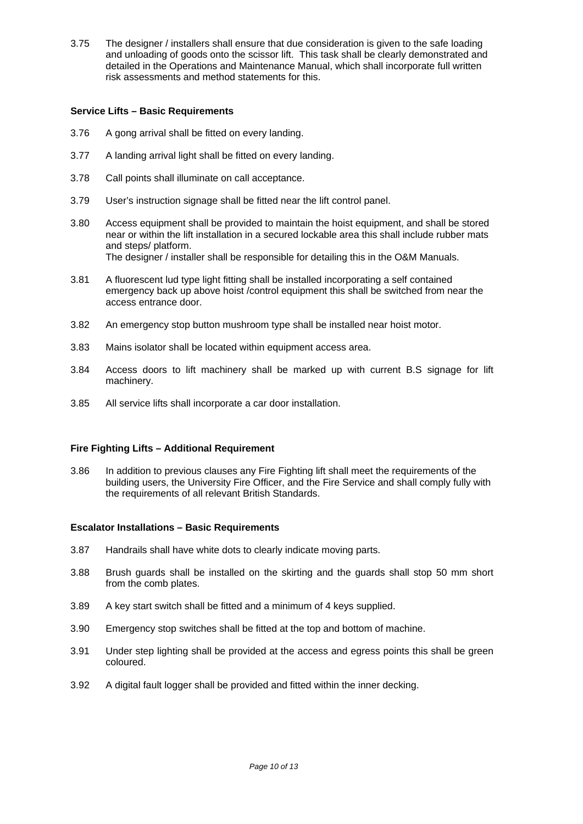3.75 The designer / installers shall ensure that due consideration is given to the safe loading and unloading of goods onto the scissor lift. This task shall be clearly demonstrated and detailed in the Operations and Maintenance Manual, which shall incorporate full written risk assessments and method statements for this.

### **Service Lifts – Basic Requirements**

- 3.76 A gong arrival shall be fitted on every landing.
- 3.77 A landing arrival light shall be fitted on every landing.
- 3.78 Call points shall illuminate on call acceptance.
- 3.79 User's instruction signage shall be fitted near the lift control panel.
- 3.80 Access equipment shall be provided to maintain the hoist equipment, and shall be stored near or within the lift installation in a secured lockable area this shall include rubber mats and steps/ platform. The designer / installer shall be responsible for detailing this in the O&M Manuals.
- 3.81 A fluorescent lud type light fitting shall be installed incorporating a self contained emergency back up above hoist /control equipment this shall be switched from near the access entrance door.
- 3.82 An emergency stop button mushroom type shall be installed near hoist motor.
- 3.83 Mains isolator shall be located within equipment access area.
- 3.84 Access doors to lift machinery shall be marked up with current B.S signage for lift machinery.
- 3.85 All service lifts shall incorporate a car door installation.

### **Fire Fighting Lifts – Additional Requirement**

3.86 In addition to previous clauses any Fire Fighting lift shall meet the requirements of the building users, the University Fire Officer, and the Fire Service and shall comply fully with the requirements of all relevant British Standards.

#### **Escalator Installations – Basic Requirements**

- 3.87 Handrails shall have white dots to clearly indicate moving parts.
- 3.88 Brush guards shall be installed on the skirting and the guards shall stop 50 mm short from the comb plates.
- 3.89 A key start switch shall be fitted and a minimum of 4 keys supplied.
- 3.90 Emergency stop switches shall be fitted at the top and bottom of machine.
- 3.91 Under step lighting shall be provided at the access and egress points this shall be green coloured.
- 3.92 A digital fault logger shall be provided and fitted within the inner decking.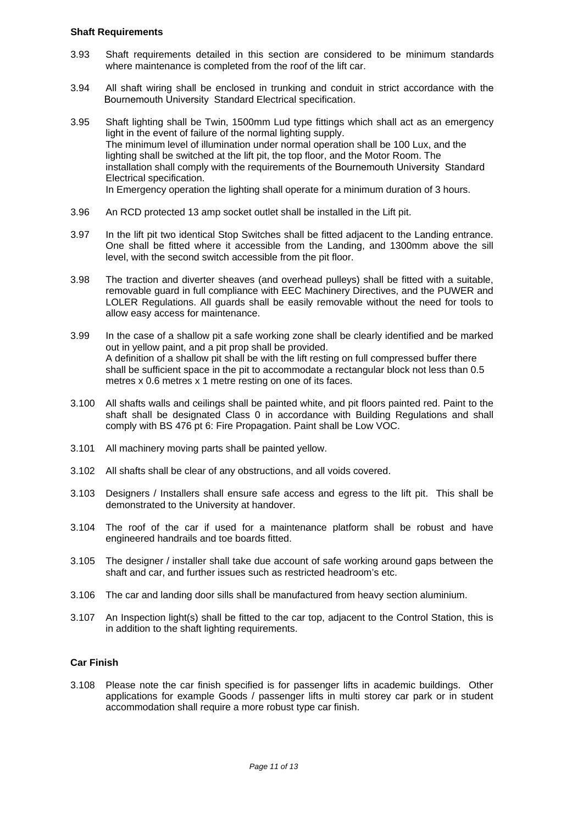#### **Shaft Requirements**

- 3.93 Shaft requirements detailed in this section are considered to be minimum standards where maintenance is completed from the roof of the lift car.
- 3.94 All shaft wiring shall be enclosed in trunking and conduit in strict accordance with the Bournemouth University Standard Electrical specification.
- 3.95 Shaft lighting shall be Twin, 1500mm Lud type fittings which shall act as an emergency light in the event of failure of the normal lighting supply. The minimum level of illumination under normal operation shall be 100 Lux, and the lighting shall be switched at the lift pit, the top floor, and the Motor Room. The installation shall comply with the requirements of the Bournemouth University Standard Electrical specification. In Emergency operation the lighting shall operate for a minimum duration of 3 hours.
- 3.96 An RCD protected 13 amp socket outlet shall be installed in the Lift pit.
- 3.97 In the lift pit two identical Stop Switches shall be fitted adjacent to the Landing entrance. One shall be fitted where it accessible from the Landing, and 1300mm above the sill level, with the second switch accessible from the pit floor.
- 3.98 The traction and diverter sheaves (and overhead pulleys) shall be fitted with a suitable, removable guard in full compliance with EEC Machinery Directives, and the PUWER and LOLER Regulations. All guards shall be easily removable without the need for tools to allow easy access for maintenance.
- 3.99 In the case of a shallow pit a safe working zone shall be clearly identified and be marked out in yellow paint, and a pit prop shall be provided. A definition of a shallow pit shall be with the lift resting on full compressed buffer there shall be sufficient space in the pit to accommodate a rectangular block not less than 0.5 metres x 0.6 metres x 1 metre resting on one of its faces.
- 3.100 All shafts walls and ceilings shall be painted white, and pit floors painted red. Paint to the shaft shall be designated Class 0 in accordance with Building Regulations and shall comply with BS 476 pt 6: Fire Propagation. Paint shall be Low VOC.
- 3.101 All machinery moving parts shall be painted yellow.
- 3.102 All shafts shall be clear of any obstructions, and all voids covered.
- 3.103 Designers / Installers shall ensure safe access and egress to the lift pit. This shall be demonstrated to the University at handover.
- 3.104 The roof of the car if used for a maintenance platform shall be robust and have engineered handrails and toe boards fitted.
- 3.105 The designer / installer shall take due account of safe working around gaps between the shaft and car, and further issues such as restricted headroom's etc.
- 3.106 The car and landing door sills shall be manufactured from heavy section aluminium.
- 3.107 An Inspection light(s) shall be fitted to the car top, adjacent to the Control Station, this is in addition to the shaft lighting requirements.

### **Car Finish**

3.108 Please note the car finish specified is for passenger lifts in academic buildings. Other applications for example Goods / passenger lifts in multi storey car park or in student accommodation shall require a more robust type car finish.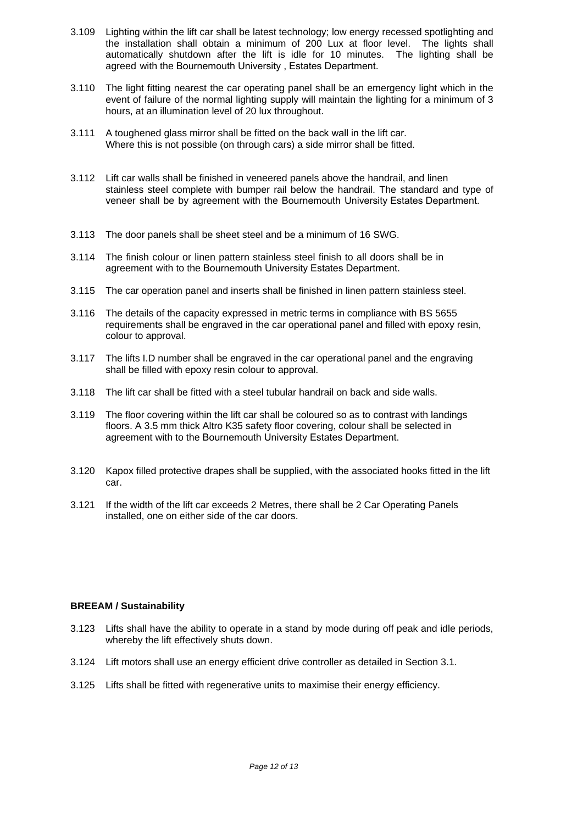- 3.109 Lighting within the lift car shall be latest technology; low energy recessed spotlighting and the installation shall obtain a minimum of 200 Lux at floor level. The lights shall automatically shutdown after the lift is idle for 10 minutes. The lighting shall be agreed with the Bournemouth University , Estates Department.
- 3.110 The light fitting nearest the car operating panel shall be an emergency light which in the event of failure of the normal lighting supply will maintain the lighting for a minimum of 3 hours, at an illumination level of 20 lux throughout.
- 3.111 A toughened glass mirror shall be fitted on the back wall in the lift car. Where this is not possible (on through cars) a side mirror shall be fitted.
- 3.112 Lift car walls shall be finished in veneered panels above the handrail, and linen stainless steel complete with bumper rail below the handrail. The standard and type of veneer shall be by agreement with the Bournemouth University Estates Department.
- 3.113 The door panels shall be sheet steel and be a minimum of 16 SWG.
- 3.114 The finish colour or linen pattern stainless steel finish to all doors shall be in agreement with to the Bournemouth University Estates Department.
- 3.115 The car operation panel and inserts shall be finished in linen pattern stainless steel.
- 3.116 The details of the capacity expressed in metric terms in compliance with BS 5655 requirements shall be engraved in the car operational panel and filled with epoxy resin, colour to approval.
- 3.117 The lifts I.D number shall be engraved in the car operational panel and the engraving shall be filled with epoxy resin colour to approval.
- 3.118 The lift car shall be fitted with a steel tubular handrail on back and side walls.
- 3.119 The floor covering within the lift car shall be coloured so as to contrast with landings floors. A 3.5 mm thick Altro K35 safety floor covering, colour shall be selected in agreement with to the Bournemouth University Estates Department.
- 3.120 Kapox filled protective drapes shall be supplied, with the associated hooks fitted in the lift car.
- 3.121 If the width of the lift car exceeds 2 Metres, there shall be 2 Car Operating Panels installed, one on either side of the car doors.

### **BREEAM / Sustainability**

- 3.123 Lifts shall have the ability to operate in a stand by mode during off peak and idle periods, whereby the lift effectively shuts down.
- 3.124 Lift motors shall use an energy efficient drive controller as detailed in Section 3.1.
- 3.125 Lifts shall be fitted with regenerative units to maximise their energy efficiency.